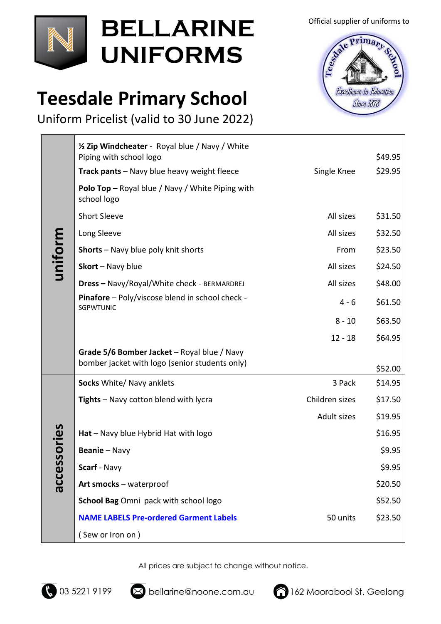

## **BELLARINE UNIFORMS**

#### **Teesdale Primary School**

Uniform Pricelist (valid to 30 June 2022)

| uniform         | 1/2 Zip Windcheater - Royal blue / Navy / White<br>Piping with school logo                    |                | \$49.95 |
|-----------------|-----------------------------------------------------------------------------------------------|----------------|---------|
|                 | Track pants - Navy blue heavy weight fleece                                                   | Single Knee    | \$29.95 |
|                 | <b>Polo Top</b> – Royal blue / Navy / White Piping with<br>school logo                        |                |         |
|                 | <b>Short Sleeve</b>                                                                           | All sizes      | \$31.50 |
|                 | Long Sleeve                                                                                   | All sizes      | \$32.50 |
|                 | <b>Shorts</b> - Navy blue poly knit shorts                                                    | From           | \$23.50 |
|                 | Skort - Navy blue                                                                             | All sizes      | \$24.50 |
|                 | <b>Dress - Navy/Royal/White check - BERMARDREJ</b>                                            | All sizes      | \$48.00 |
|                 | <b>Pinafore</b> - Poly/viscose blend in school check -<br><b>SGPWTUNIC</b>                    | $4 - 6$        | \$61.50 |
|                 |                                                                                               | $8 - 10$       | \$63.50 |
|                 |                                                                                               | $12 - 18$      | \$64.95 |
|                 | Grade 5/6 Bomber Jacket - Royal blue / Navy<br>bomber jacket with logo (senior students only) |                | \$52.00 |
| sories<br>acces | Socks White/ Navy anklets                                                                     | 3 Pack         | \$14.95 |
|                 | Tights - Navy cotton blend with lycra                                                         | Children sizes | \$17.50 |
|                 |                                                                                               | Adult sizes    | \$19.95 |
|                 | Hat - Navy blue Hybrid Hat with logo                                                          |                | \$16.95 |
|                 | Beanie - Navy                                                                                 |                | \$9.95  |
|                 | Scarf - Navy                                                                                  |                | \$9.95  |
|                 | Art smocks - waterproof                                                                       |                | \$20.50 |
|                 | School Bag Omni pack with school logo                                                         |                | \$52.50 |
|                 | <b>NAME LABELS Pre-ordered Garment Labels</b>                                                 | 50 units       | \$23.50 |
|                 | (Sew or Iron on)                                                                              |                |         |
|                 |                                                                                               |                |         |

All prices are subject to change without notice.